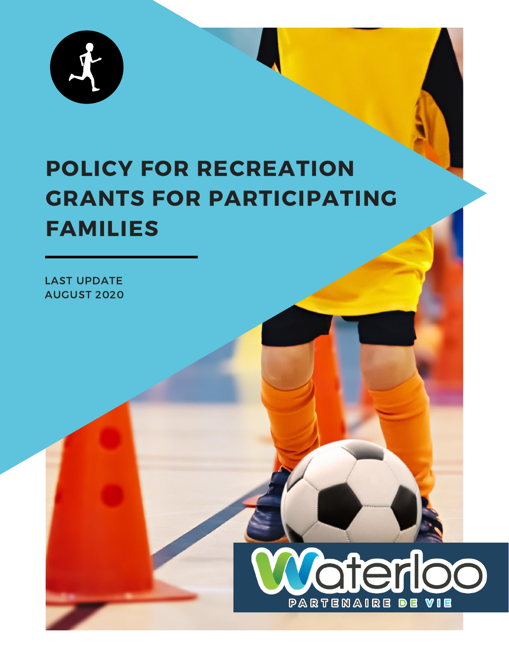

# POLICY FOR RECREATION GRANTS FOR PARTICIPATING FAMILIES

LAST UPDATE AUGUST 2020

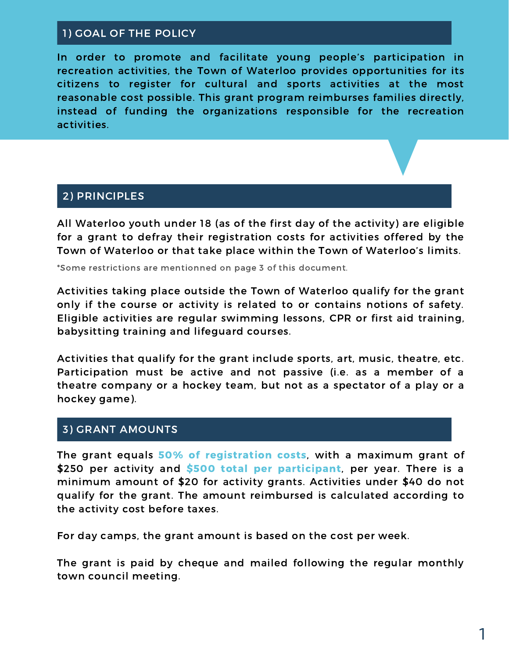### 1) GOAL OF THE POLICY

In order to promote and facilitate young people's participation in recreation activities, the Town of Waterloo provides opportunities for its citizens to register for cultural and sports activities at the most reasonable cost possible. This grant program reimburses families directly, instead of funding the organizations responsible for the recreation activities.

#### 2) PRINCIPLES

All Waterloo youth under 18 (as of the first day of the activity) are eligible for a grant to defray their registration costs for activities offered by the Town of Waterloo or that take place within the Town of Waterloo's limits.

\*Some restrictions are mentionned on page 3 of this document.

Activities taking place outside the Town of Waterloo qualify for the grant only if the course or activity is related to or contains notions of safety. Eligible activities are regular swimming lessons, CPR or first aid training, babysitting training and lifeguard courses.

Activities that qualify for the grant include sports, art, music, theatre, etc. Participation must be active and not passive (i.e. as a member of a theatre company or a hockey team, but not as a spectator of a play or a hockey game).

#### 3) GRANT AMOUNTS

The grant equals 50% of registration costs, with a maximum grant of \$250 per activity and \$500 total per participant, per year. There is a minimum amount of \$20 for activity grants. Activities under \$40 do not qualify for the grant. The amount reimbursed is calculated according to the activity cost before taxes.

For day camps, the grant amount is based on the cost per week.

The grant is paid by cheque and mailed following the regular monthly town council meeting.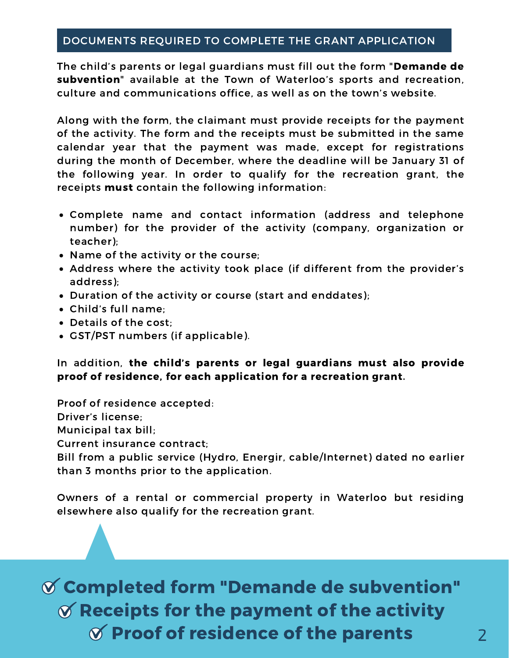#### DOCUMENTS REQUIRED TO COMPLETE THE GRANT APPLICATION

The child's parents or legal guardians must fill out the form "Demande de subvention" available at the Town of Waterloo's sports and recreation, culture and communications office, as well as on the town's website.

Along with the form, the claimant must provide receipts for the payment of the activity. The form and the receipts must be submitted in the same calendar year that the payment was made, except for registrations during the month of December, where the deadline will be January 31 of the following year. In order to qualify for the recreation grant, the receipts must contain the following information:

- Complete name and contact information (address and telephone number) for the provider of the activity (company, organization or teacher);
- Name of the activity or the course;
- Address where the activity took place (if different from the provider's address);
- Duration of the activity or course (start and enddates);
- Child's full name;
- Details of the cost;
- GST/PST numbers (if applicable).

In addition, the child's parents or legal guardians must also provide proof of residence, for each application for a recreation grant.

Proof of residence accepted:

Driver's license;

Municipal tax bill;

Current insurance contract;

Bill from a public service (Hydro, Energir, cable/Internet) dated no earlier than 3 months prior to the application.

Owners of a rental or commercial property in Waterloo but residing elsewhere also qualify for the recreation grant.

## Completed form "Demande de subvention"  $\mathcal X$  Receipts for the payment of the activity  $\sigma$  Proof of residence of the parents  $\sigma$  2